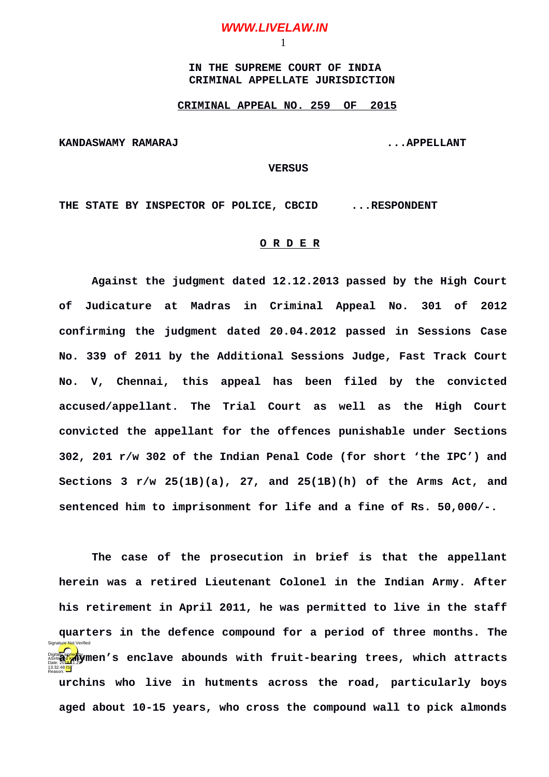## **WWW.LIVELAW.IN**

1

 **IN THE SUPREME COURT OF INDIA CRIMINAL APPELLATE JURISDICTION**

## **CRIMINAL APPEAL NO. 259 OF 2015**

**KANDASWAMY RAMARAJ ...APPELLANT**

 **VERSUS**

**THE STATE BY INSPECTOR OF POLICE, CBCID ...RESPONDENT**

## **O R D E R**

**Against the judgment dated 12.12.2013 passed by the High Court of Judicature at Madras in Criminal Appeal No. 301 of 2012 confirming the judgment dated 20.04.2012 passed in Sessions Case No. 339 of 2011 by the Additional Sessions Judge, Fast Track Court No. V, Chennai, this appeal has been filed by the convicted accused/appellant. The Trial Court as well as the High Court convicted the appellant for the offences punishable under Sections 302, 201 r/w 302 of the Indian Penal Code (for short 'the IPC') and Sections 3 r/w 25(1B)(a), 27, and 25(1B)(h) of the Arms Act, and sentenced him to imprisonment for life and a fine of Rs. 50,000/-.**

**The case of the prosecution in brief is that the appellant herein was a retired Lieutenant Colonel in the Indian Army. After his retirement in April 2011, he was permitted to live in the staff quarters in the defence compound for a period of three months. The Digitally senclave abounds with fruit-bearing trees, which attracts urchins who live in hutments across the road, particularly boys aged about 10-15 years, who cross the compound wall to pick almonds** Date: 2019.11.22 13:32:48<sup>1S</sup> Reason: Signature Not Verified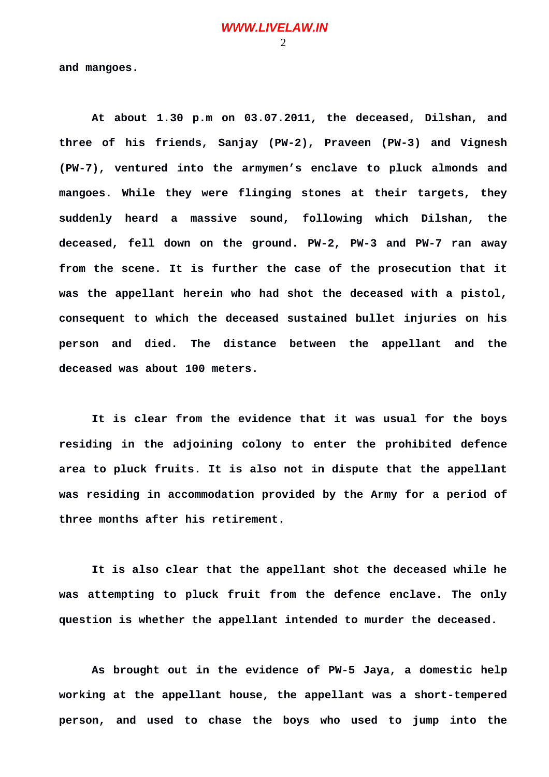**and mangoes.** 

**At about 1.30 p.m on 03.07.2011, the deceased, Dilshan, and three of his friends, Sanjay (PW-2), Praveen (PW-3) and Vignesh (PW-7), ventured into the armymen's enclave to pluck almonds and mangoes. While they were flinging stones at their targets, they suddenly heard a massive sound, following which Dilshan, the deceased, fell down on the ground. PW-2, PW-3 and PW-7 ran away from the scene. It is further the case of the prosecution that it was the appellant herein who had shot the deceased with a pistol, consequent to which the deceased sustained bullet injuries on his person and died. The distance between the appellant and the deceased was about 100 meters.**

**It is clear from the evidence that it was usual for the boys residing in the adjoining colony to enter the prohibited defence area to pluck fruits. It is also not in dispute that the appellant was residing in accommodation provided by the Army for a period of three months after his retirement.**

**It is also clear that the appellant shot the deceased while he was attempting to pluck fruit from the defence enclave. The only question is whether the appellant intended to murder the deceased.**

**As brought out in the evidence of PW-5 Jaya, a domestic help working at the appellant house, the appellant was a short-tempered person, and used to chase the boys who used to jump into the**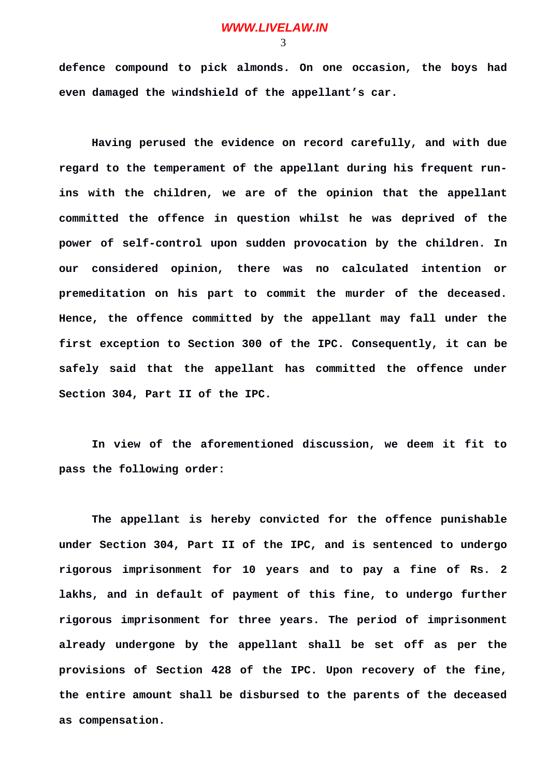3

**defence compound to pick almonds. On one occasion, the boys had even damaged the windshield of the appellant's car.**

**Having perused the evidence on record carefully, and with due regard to the temperament of the appellant during his frequent runins with the children, we are of the opinion that the appellant committed the offence in question whilst he was deprived of the power of self-control upon sudden provocation by the children. In our considered opinion, there was no calculated intention or premeditation on his part to commit the murder of the deceased. Hence, the offence committed by the appellant may fall under the first exception to Section 300 of the IPC. Consequently, it can be safely said that the appellant has committed the offence under Section 304, Part II of the IPC.**

**In view of the aforementioned discussion, we deem it fit to pass the following order:**

**The appellant is hereby convicted for the offence punishable under Section 304, Part II of the IPC, and is sentenced to undergo rigorous imprisonment for 10 years and to pay a fine of Rs. 2 lakhs, and in default of payment of this fine, to undergo further rigorous imprisonment for three years. The period of imprisonment already undergone by the appellant shall be set off as per the provisions of Section 428 of the IPC. Upon recovery of the fine, the entire amount shall be disbursed to the parents of the deceased as compensation.**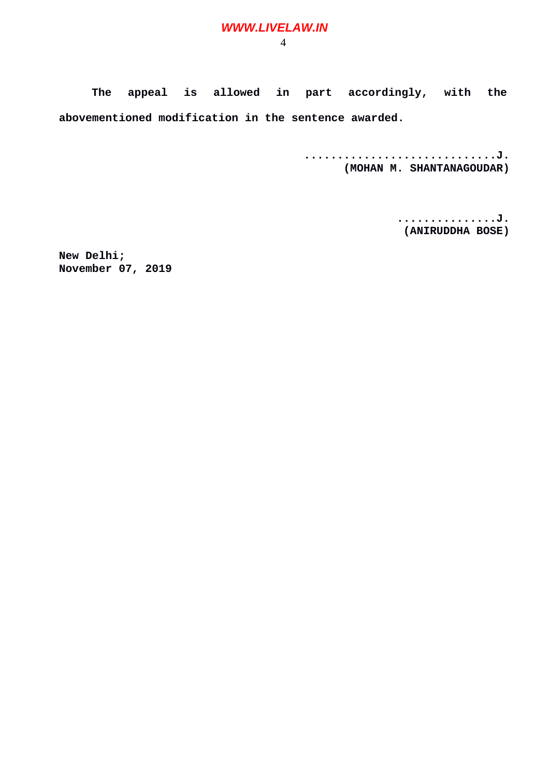## **WWW.LIVELAW.IN**

4

**The appeal is allowed in part accordingly, with the abovementioned modification in the sentence awarded.**

> **.............................J. (MOHAN M. SHANTANAGOUDAR)**

> > **...............J. (ANIRUDDHA BOSE)**

**New Delhi; November 07, 2019**